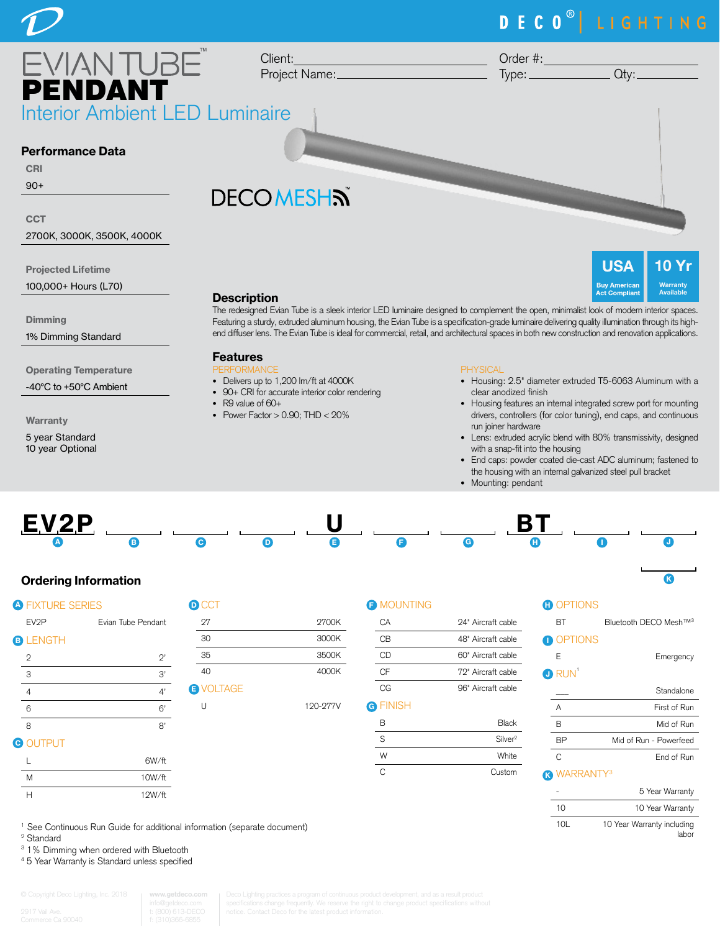### DECO<sup>®</sup> LIGHTING EVIAN TUBE Client: Order #: Project Name:  $Type:$   $Qty:$ PENDANT Interior Ambient LED Luminaire Performance Data CRI 90+ **DECOMESHS CCT** 2700K, 3000K, 3500K, 4000K **USA**  $\overline{0}$ Projected Lifetime

**Dimming** 

1% Dimming Standard

100,000+ Hours (L70)

Operating Temperature

-40°C to +50°C Ambient

Warranty

5 year Standard 10 year Optional

**Description** The redesigned Evian Tube is a sleek interior LED luminaire designed to complement the open, minimalist look of modern interior spaces. Featuring a sturdy, extruded aluminum housing, the Evian Tube is a specification-grade luminaire delivering quality illumination through its highend diffuser lens. The Evian Tube is ideal for commercial, retail, and architectural spaces in both new construction and renovation applications.

### Features

- PERFORMANCE • Delivers up to 1,200 lm/ft at 4000K
- 90+ CRI for accurate interior color rendering
- R9 value of 60+
- Power Factor  $> 0.90$ ; THD  $< 20\%$

### PHYSICAL

• Housing: 2.5" diameter extruded T5-6063 Aluminum with a clear anodized finish

**Warranty** Available

**Act Compliant** 

- Housing features an internal integrated screw port for mounting drivers, controllers (for color tuning), end caps, and continuous run joiner hardware
- Lens: extruded acrylic blend with 80% transmissivity, designed with a snap-fit into the housing
- End caps: powder coated die-cast ADC aluminum; fastened to the housing with an internal galvanized steel pull bracket
- Mounting: pendant



### Ordering Information

|                   |                    | <b>D</b> CCT            |
|-------------------|--------------------|-------------------------|
| EV <sub>2</sub> P | Evian Tube Pendant | 27                      |
| <b>LENGTH</b>     |                    | 30                      |
| $\mathbf{2}$      | $2^,$              | 35                      |
| 3                 | 3'                 | 40                      |
| $\overline{4}$    | 4'                 | <b>O</b> VOLTAGE        |
| 6                 | 6'                 | U                       |
| 8                 | 8'                 |                         |
| <b>OUTPUT</b>     |                    |                         |
|                   |                    | <b>A FIXTURE SERIES</b> |

| <b>D</b> CCT     |          |
|------------------|----------|
| 27               | 2700K    |
| 30               | 3000K    |
| 35               | 3500K    |
| 40               | 4000K    |
| <b>B</b> VOLTAGE |          |
| U                | 120-277V |

### **F** MOUNTING

| CА              | 94" Aircraft cable |
|-----------------|--------------------|
| СB              | 48" Aircraft cable |
| СD              | 60" Aircraft cable |
| СF              | 79" Aircraft cable |
| CG              | 96" Aircraft cable |
| <b>G</b> FINISH |                    |

| <b>Black</b>        |
|---------------------|
| Silver <sup>2</sup> |
| White               |
| Custom              |
|                     |

### **D** OPTIONS

| BT | Bluetooth DECO Mesh™ <sup>3</sup> |  |
|----|-----------------------------------|--|
|    |                                   |  |

K -10L



# E Emergency

| D RUN |              |
|-------|--------------|
|       | Standalone   |
| А     | First of Run |
| R     | Mid of Run   |

| <b>RP</b> | Mid of Run - Powerfeed |
|-----------|------------------------|
|           |                        |

### **R** WARRANTY<sup>3</sup> C End of Run

|     | 5 Year Warranty                     |
|-----|-------------------------------------|
| 10  | 10 Year Warranty                    |
| 10I | 10 Year Warranty including<br>lahor |

<sup>1</sup> See Continuous Run Guide for additional information (separate document)

H 12W/ft

2 Standard

<sup>3</sup> 1% Dimming when ordered with Bluetooth

L 6W/ft M 10W/ft

4 5 Year Warranty is Standard unless specified

# **www.getdeco.com**